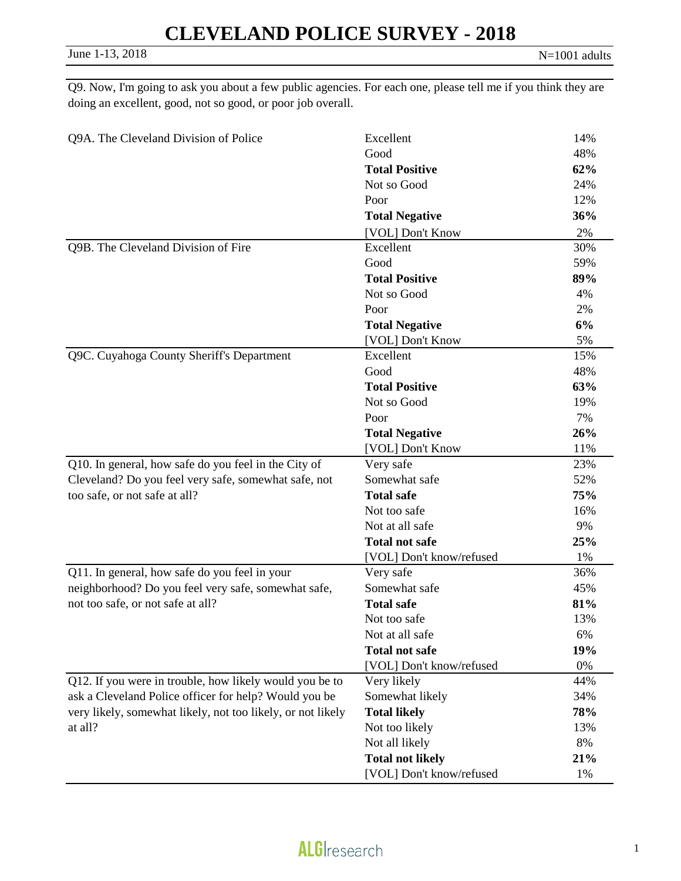Q9. Now, I'm going to ask you about a few public agencies. For each one, please tell me if you think they are doing an excellent, good, not so good, or poor job overall.

| Q9A. The Cleveland Division of Police                       | Excellent                | 14% |
|-------------------------------------------------------------|--------------------------|-----|
|                                                             | Good                     | 48% |
|                                                             | <b>Total Positive</b>    | 62% |
|                                                             | Not so Good              | 24% |
|                                                             | Poor                     | 12% |
|                                                             | <b>Total Negative</b>    | 36% |
|                                                             | [VOL] Don't Know         | 2%  |
| Q9B. The Cleveland Division of Fire                         | Excellent                | 30% |
|                                                             | Good                     | 59% |
|                                                             | <b>Total Positive</b>    | 89% |
|                                                             | Not so Good              | 4%  |
|                                                             | Poor                     | 2%  |
|                                                             | <b>Total Negative</b>    | 6%  |
|                                                             | [VOL] Don't Know         | 5%  |
| Q9C. Cuyahoga County Sheriff's Department                   | Excellent                | 15% |
|                                                             | Good                     | 48% |
|                                                             | <b>Total Positive</b>    | 63% |
|                                                             | Not so Good              | 19% |
|                                                             | Poor                     | 7%  |
|                                                             | <b>Total Negative</b>    | 26% |
|                                                             | [VOL] Don't Know         | 11% |
| Q10. In general, how safe do you feel in the City of        | Very safe                | 23% |
| Cleveland? Do you feel very safe, somewhat safe, not        | Somewhat safe            | 52% |
| too safe, or not safe at all?                               | <b>Total safe</b>        | 75% |
|                                                             | Not too safe             | 16% |
|                                                             | Not at all safe          | 9%  |
|                                                             | <b>Total not safe</b>    | 25% |
|                                                             | [VOL] Don't know/refused | 1%  |
| Q11. In general, how safe do you feel in your               | Very safe                | 36% |
| neighborhood? Do you feel very safe, somewhat safe,         | Somewhat safe            | 45% |
| not too safe, or not safe at all?                           | <b>Total safe</b>        | 81% |
|                                                             | Not too safe             | 13% |
|                                                             | Not at all safe          | 6%  |
|                                                             | <b>Total not safe</b>    | 19% |
|                                                             | [VOL] Don't know/refused | 0%  |
| Q12. If you were in trouble, how likely would you be to     | Very likely              | 44% |
| ask a Cleveland Police officer for help? Would you be       | Somewhat likely          | 34% |
| very likely, somewhat likely, not too likely, or not likely | <b>Total likely</b>      | 78% |
| at all?                                                     | Not too likely           | 13% |
|                                                             | Not all likely           | 8%  |
|                                                             | <b>Total not likely</b>  | 21% |
|                                                             | [VOL] Don't know/refused | 1%  |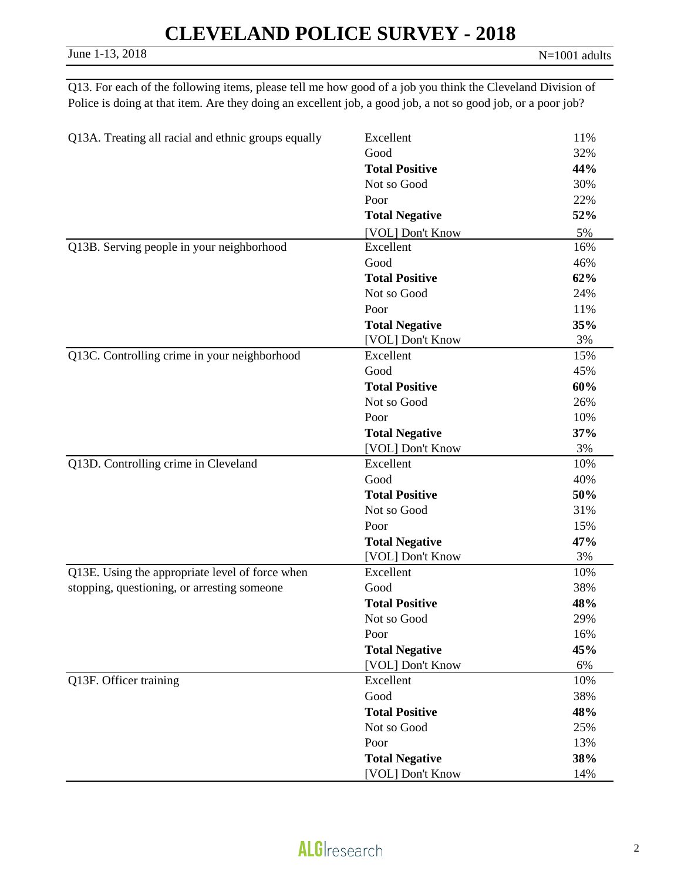Q13. For each of the following items, please tell me how good of a job you think the Cleveland Division of Police is doing at that item. Are they doing an excellent job, a good job, a not so good job, or a poor job?

| Q13A. Treating all racial and ethnic groups equally | Excellent             | 11% |
|-----------------------------------------------------|-----------------------|-----|
|                                                     | Good                  | 32% |
|                                                     | <b>Total Positive</b> | 44% |
|                                                     | Not so Good           | 30% |
|                                                     | Poor                  | 22% |
|                                                     | <b>Total Negative</b> | 52% |
|                                                     | [VOL] Don't Know      | 5%  |
| Q13B. Serving people in your neighborhood           | Excellent             | 16% |
|                                                     | Good                  | 46% |
|                                                     | <b>Total Positive</b> | 62% |
|                                                     | Not so Good           | 24% |
|                                                     | Poor                  | 11% |
|                                                     | <b>Total Negative</b> | 35% |
|                                                     | [VOL] Don't Know      | 3%  |
| Q13C. Controlling crime in your neighborhood        | Excellent             | 15% |
|                                                     | Good                  | 45% |
|                                                     | <b>Total Positive</b> | 60% |
|                                                     | Not so Good           | 26% |
|                                                     | Poor                  | 10% |
|                                                     | <b>Total Negative</b> | 37% |
|                                                     | [VOL] Don't Know      | 3%  |
| Q13D. Controlling crime in Cleveland                | Excellent             | 10% |
|                                                     | Good                  | 40% |
|                                                     | <b>Total Positive</b> | 50% |
|                                                     | Not so Good           | 31% |
|                                                     | Poor                  | 15% |
|                                                     | <b>Total Negative</b> | 47% |
|                                                     | [VOL] Don't Know      | 3%  |
| Q13E. Using the appropriate level of force when     | Excellent             | 10% |
| stopping, questioning, or arresting someone         | Good                  | 38% |
|                                                     | <b>Total Positive</b> | 48% |
|                                                     | Not so Good           | 29% |
|                                                     | Poor                  | 16% |
|                                                     | <b>Total Negative</b> | 45% |
|                                                     | [VOL] Don't Know      | 6%  |
| Q13F. Officer training                              | Excellent             | 10% |
|                                                     | Good                  | 38% |
|                                                     | <b>Total Positive</b> | 48% |
|                                                     | Not so Good           | 25% |
|                                                     | Poor                  | 13% |
|                                                     | <b>Total Negative</b> | 38% |
|                                                     | [VOL] Don't Know      | 14% |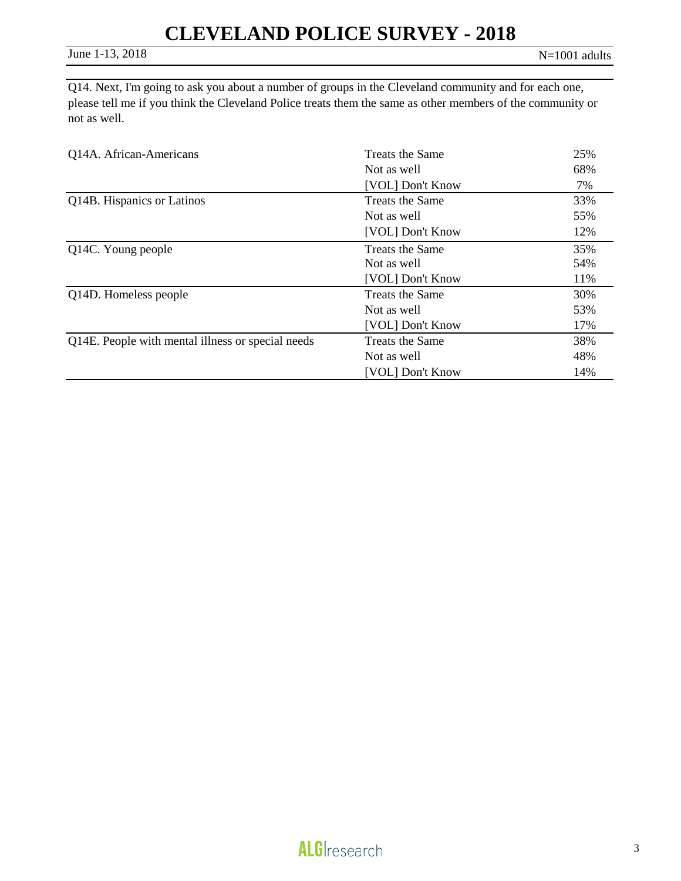Q14. Next, I'm going to ask you about a number of groups in the Cleveland community and for each one, please tell me if you think the Cleveland Police treats them the same as other members of the community or not as well.

| Q14A. African-Americans                           | Treats the Same        | 25% |
|---------------------------------------------------|------------------------|-----|
|                                                   | Not as well            | 68% |
|                                                   | [VOL] Don't Know       | 7%  |
| Q14B. Hispanics or Latinos                        | Treats the Same        | 33% |
|                                                   | Not as well            | 55% |
|                                                   | [VOL] Don't Know       | 12% |
| Q14C. Young people                                | <b>Treats the Same</b> | 35% |
|                                                   | Not as well            | 54% |
|                                                   | [VOL] Don't Know       | 11% |
| Q14D. Homeless people                             | Treats the Same        | 30% |
|                                                   | Not as well            | 53% |
|                                                   | [VOL] Don't Know       | 17% |
| Q14E. People with mental illness or special needs | <b>Treats the Same</b> | 38% |
|                                                   | Not as well            | 48% |
|                                                   | [VOL] Don't Know       | 14% |

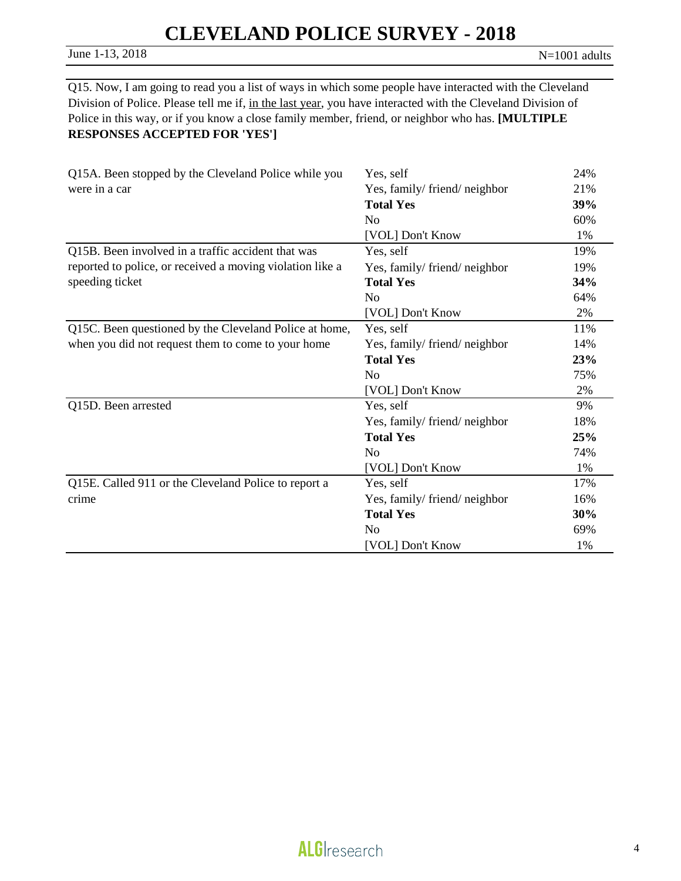June 1-13, 2018 N=1001 adults

Q15. Now, I am going to read you a list of ways in which some people have interacted with the Cleveland Division of Police. Please tell me if, in the last year, you have interacted with the Cleveland Division of Police in this way, or if you know a close family member, friend, or neighbor who has. **[MULTIPLE RESPONSES ACCEPTED FOR 'YES']** 

| Q15A. Been stopped by the Cleveland Police while you      | Yes, self                   | 24% |
|-----------------------------------------------------------|-----------------------------|-----|
| were in a car                                             | Yes, family/friend/neighbor | 21% |
|                                                           | <b>Total Yes</b>            | 39% |
|                                                           | N <sub>0</sub>              | 60% |
|                                                           | [VOL] Don't Know            | 1%  |
| Q15B. Been involved in a traffic accident that was        | Yes, self                   | 19% |
| reported to police, or received a moving violation like a | Yes, family/friend/neighbor | 19% |
| speeding ticket                                           | <b>Total Yes</b>            | 34% |
|                                                           | N <sub>0</sub>              | 64% |
|                                                           | [VOL] Don't Know            | 2%  |
| Q15C. Been questioned by the Cleveland Police at home,    | Yes, self                   | 11% |
| when you did not request them to come to your home        | Yes, family/friend/neighbor | 14% |
|                                                           | <b>Total Yes</b>            | 23% |
|                                                           | N <sub>o</sub>              | 75% |
|                                                           | [VOL] Don't Know            | 2%  |
| Q15D. Been arrested                                       | Yes, self                   | 9%  |
|                                                           | Yes, family/friend/neighbor | 18% |
|                                                           | <b>Total Yes</b>            | 25% |
|                                                           | N <sub>0</sub>              | 74% |
|                                                           | [VOL] Don't Know            | 1%  |
| Q15E. Called 911 or the Cleveland Police to report a      | Yes, self                   | 17% |
| crime                                                     | Yes, family/friend/neighbor | 16% |
|                                                           | <b>Total Yes</b>            | 30% |
|                                                           | N <sub>o</sub>              | 69% |
|                                                           | [VOL] Don't Know            | 1%  |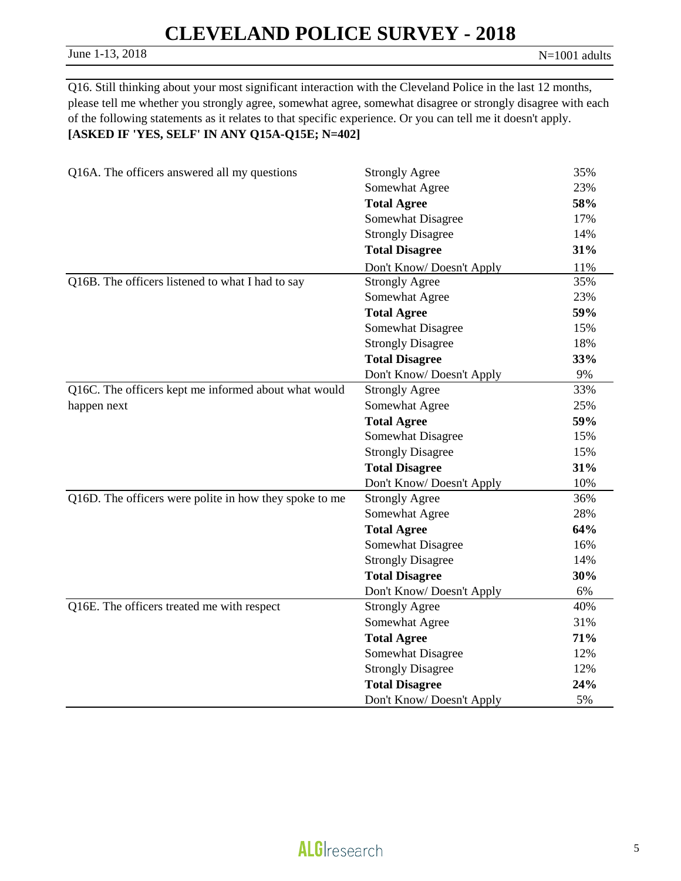#### June 1-13, 2018 N=1001 adults

Q16. Still thinking about your most significant interaction with the Cleveland Police in the last 12 months, please tell me whether you strongly agree, somewhat agree, somewhat disagree or strongly disagree with each of the following statements as it relates to that specific experience. Or you can tell me it doesn't apply. **[ASKED IF 'YES, SELF' IN ANY Q15A-Q15E; N=402]**

| Q16A. The officers answered all my questions           | <b>Strongly Agree</b>    | 35% |
|--------------------------------------------------------|--------------------------|-----|
|                                                        | Somewhat Agree           | 23% |
|                                                        | <b>Total Agree</b>       | 58% |
|                                                        | Somewhat Disagree        | 17% |
|                                                        | <b>Strongly Disagree</b> | 14% |
|                                                        | <b>Total Disagree</b>    | 31% |
|                                                        | Don't Know/Doesn't Apply | 11% |
| Q16B. The officers listened to what I had to say       | <b>Strongly Agree</b>    | 35% |
|                                                        | Somewhat Agree           | 23% |
|                                                        | <b>Total Agree</b>       | 59% |
|                                                        | Somewhat Disagree        | 15% |
|                                                        | <b>Strongly Disagree</b> | 18% |
|                                                        | <b>Total Disagree</b>    | 33% |
|                                                        | Don't Know/Doesn't Apply | 9%  |
| Q16C. The officers kept me informed about what would   | <b>Strongly Agree</b>    | 33% |
| happen next                                            | Somewhat Agree           | 25% |
|                                                        | <b>Total Agree</b>       | 59% |
|                                                        | Somewhat Disagree        | 15% |
|                                                        | <b>Strongly Disagree</b> | 15% |
|                                                        | <b>Total Disagree</b>    | 31% |
|                                                        | Don't Know/Doesn't Apply | 10% |
| Q16D. The officers were polite in how they spoke to me | <b>Strongly Agree</b>    | 36% |
|                                                        | Somewhat Agree           | 28% |
|                                                        | <b>Total Agree</b>       | 64% |
|                                                        | Somewhat Disagree        | 16% |
|                                                        | <b>Strongly Disagree</b> | 14% |
|                                                        | <b>Total Disagree</b>    | 30% |
|                                                        | Don't Know/Doesn't Apply | 6%  |
| Q16E. The officers treated me with respect             | <b>Strongly Agree</b>    | 40% |
|                                                        | Somewhat Agree           | 31% |
|                                                        | <b>Total Agree</b>       | 71% |
|                                                        | Somewhat Disagree        | 12% |
|                                                        | <b>Strongly Disagree</b> | 12% |
|                                                        | <b>Total Disagree</b>    | 24% |
|                                                        | Don't Know/Doesn't Apply | 5%  |

## **ALG**Iresearch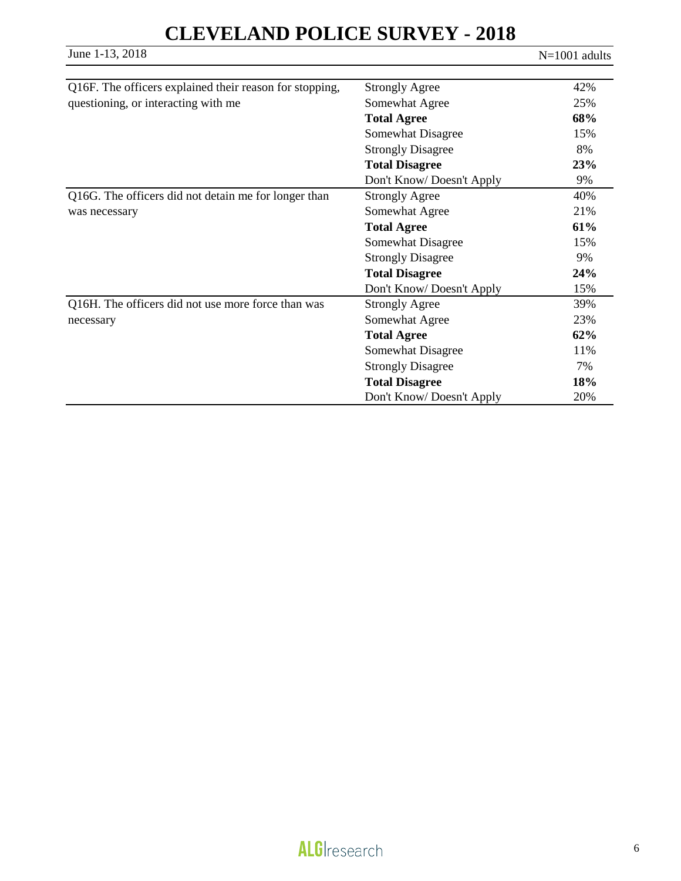June 1-13, 2018 N=1001 adults

| Q16F. The officers explained their reason for stopping,         | <b>Strongly Agree</b>    | 42% |
|-----------------------------------------------------------------|--------------------------|-----|
|                                                                 |                          |     |
| questioning, or interacting with me                             | Somewhat Agree           | 25% |
|                                                                 | <b>Total Agree</b>       | 68% |
|                                                                 | Somewhat Disagree        | 15% |
|                                                                 | <b>Strongly Disagree</b> | 8%  |
|                                                                 | <b>Total Disagree</b>    | 23% |
|                                                                 | Don't Know/Doesn't Apply | 9%  |
| Q16G. The officers did not detain me for longer than            | <b>Strongly Agree</b>    | 40% |
| was necessary                                                   | Somewhat Agree           | 21% |
|                                                                 | <b>Total Agree</b>       | 61% |
|                                                                 | Somewhat Disagree        | 15% |
|                                                                 | <b>Strongly Disagree</b> | 9%  |
|                                                                 | <b>Total Disagree</b>    | 24% |
|                                                                 | Don't Know/Doesn't Apply | 15% |
| Q16H. The officers did not use more force than was<br>necessary | <b>Strongly Agree</b>    | 39% |
|                                                                 | Somewhat Agree           | 23% |
|                                                                 | <b>Total Agree</b>       | 62% |
|                                                                 | Somewhat Disagree        | 11% |
|                                                                 | <b>Strongly Disagree</b> | 7%  |
|                                                                 | <b>Total Disagree</b>    | 18% |
|                                                                 | Don't Know/Doesn't Apply | 20% |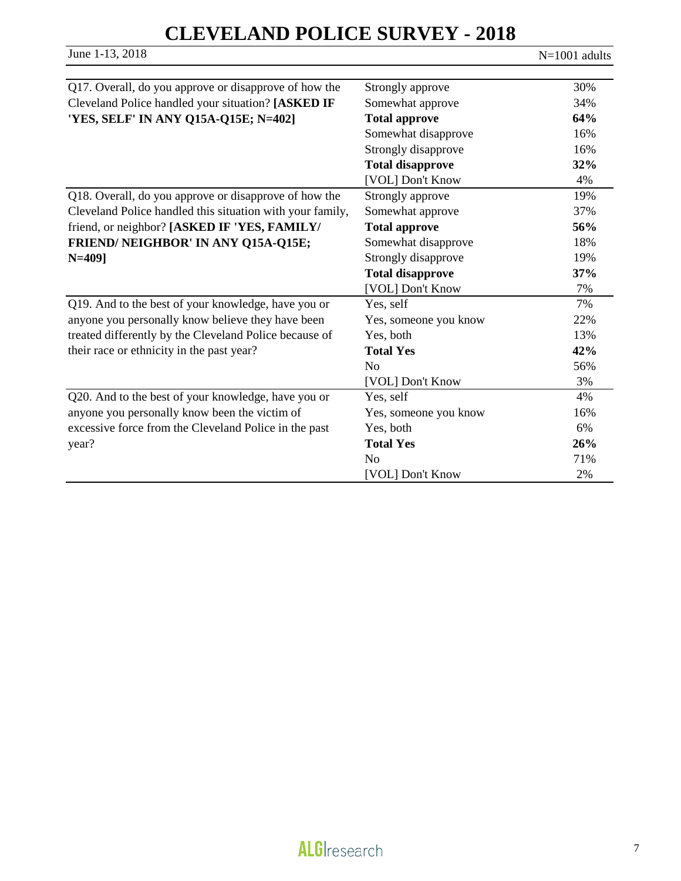June 1-13, 2018 N=1001 adults

| Q17. Overall, do you approve or disapprove of how the     | Strongly approve        | 30% |
|-----------------------------------------------------------|-------------------------|-----|
| Cleveland Police handled your situation? [ASKED IF        | Somewhat approve        | 34% |
| 'YES, SELF' IN ANY Q15A-Q15E; N=402]                      | <b>Total approve</b>    | 64% |
|                                                           | Somewhat disapprove     | 16% |
|                                                           | Strongly disapprove     | 16% |
|                                                           | <b>Total disapprove</b> | 32% |
|                                                           | [VOL] Don't Know        | 4%  |
| Q18. Overall, do you approve or disapprove of how the     | Strongly approve        | 19% |
| Cleveland Police handled this situation with your family, | Somewhat approve        | 37% |
| friend, or neighbor? [ASKED IF 'YES, FAMILY/              | <b>Total approve</b>    | 56% |
| FRIEND/ NEIGHBOR' IN ANY Q15A-Q15E;                       | Somewhat disapprove     | 18% |
| $N = 409$                                                 | Strongly disapprove     | 19% |
|                                                           | <b>Total disapprove</b> | 37% |
|                                                           | [VOL] Don't Know        | 7%  |
| Q19. And to the best of your knowledge, have you or       | Yes, self               | 7%  |
| anyone you personally know believe they have been         | Yes, someone you know   | 22% |
| treated differently by the Cleveland Police because of    | Yes, both               | 13% |
| their race or ethnicity in the past year?                 | <b>Total Yes</b>        | 42% |
|                                                           | N <sub>o</sub>          | 56% |
|                                                           | [VOL] Don't Know        | 3%  |
| Q20. And to the best of your knowledge, have you or       | Yes, self               | 4%  |
| anyone you personally know been the victim of             | Yes, someone you know   | 16% |
| excessive force from the Cleveland Police in the past     | Yes, both               | 6%  |
| year?                                                     | <b>Total Yes</b>        | 26% |
|                                                           | N <sub>0</sub>          | 71% |
|                                                           | [VOL] Don't Know        | 2%  |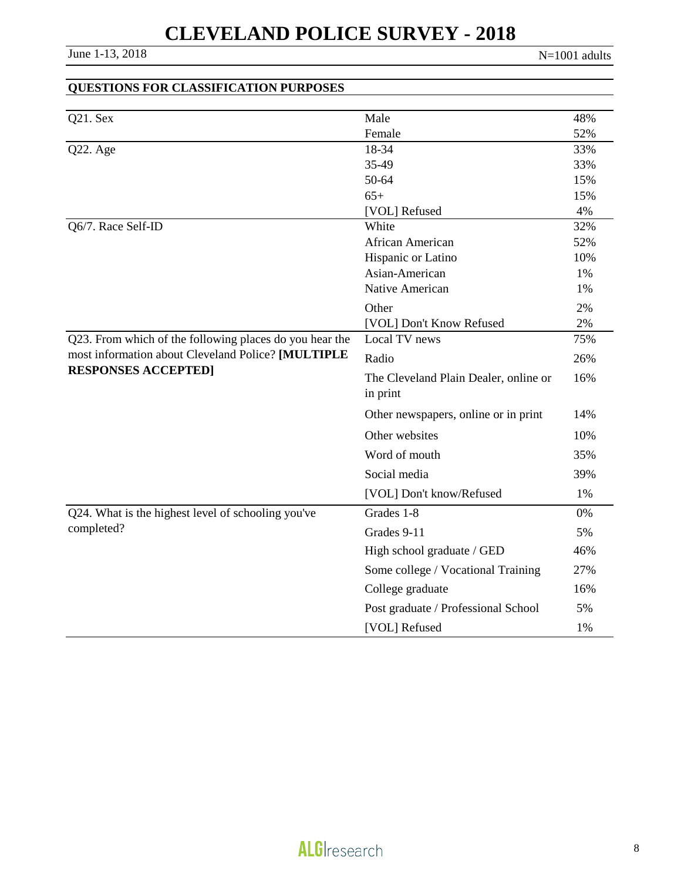| <b>QUESTIONS FOR CLASSIFICATION PURPOSES</b>            |                                       |          |
|---------------------------------------------------------|---------------------------------------|----------|
|                                                         |                                       |          |
| Q21. Sex                                                | Male                                  | 48%      |
|                                                         | Female                                | 52%      |
| Q22. Age                                                | 18-34                                 | 33%      |
|                                                         | 35-49                                 | 33%      |
|                                                         | 50-64                                 | 15%      |
|                                                         | $65+$                                 | 15%      |
|                                                         | [VOL] Refused                         | 4%       |
| Q6/7. Race Self-ID                                      | White                                 | 32%      |
|                                                         | <b>African American</b>               | 52%      |
|                                                         | Hispanic or Latino                    | 10%      |
|                                                         | Asian-American<br>Native American     | 1%<br>1% |
|                                                         |                                       |          |
|                                                         | Other                                 | 2%       |
|                                                         | [VOL] Don't Know Refused              | 2%       |
| Q23. From which of the following places do you hear the | Local TV news                         | 75%      |
| most information about Cleveland Police? [MULTIPLE      | Radio                                 | 26%      |
| <b>RESPONSES ACCEPTED]</b>                              | The Cleveland Plain Dealer, online or | 16%      |
|                                                         | in print                              |          |
|                                                         | Other newspapers, online or in print  | 14%      |
|                                                         | Other websites                        | 10%      |
|                                                         | Word of mouth                         | 35%      |
|                                                         | Social media                          | 39%      |
|                                                         | [VOL] Don't know/Refused              | 1%       |
| Q24. What is the highest level of schooling you've      | Grades 1-8                            | 0%       |
| completed?                                              | Grades 9-11                           | 5%       |
|                                                         | High school graduate / GED            | 46%      |
|                                                         | Some college / Vocational Training    | 27%      |
|                                                         | College graduate                      | 16%      |
|                                                         | Post graduate / Professional School   | 5%       |
|                                                         | [VOL] Refused                         | 1%       |

### **ALGI**research